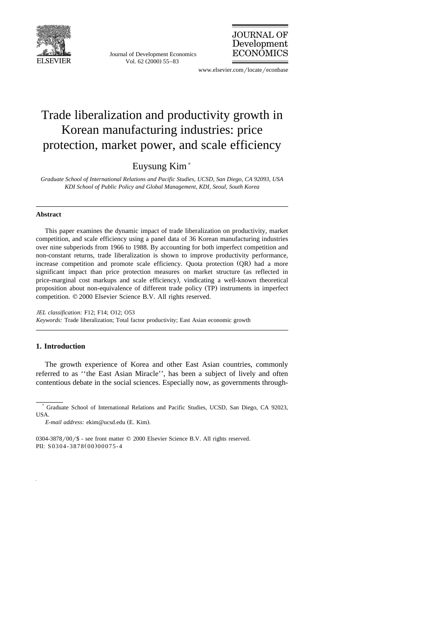

Journal of Development Economics Vol. 62  $(2000)$  55–83



www.elsevier.com/locate/econbase

# Trade liberalization and productivity growth in Korean manufacturing industries: price protection, market power, and scale efficiency

### Euysung Kim)

*Graduate School of International Relations and Pacific Studies, UCSD, San Diego, CA 92093, USA KDI School of Public Policy and Global Management, KDI, Seoul, South Korea*

#### **Abstract**

This paper examines the dynamic impact of trade liberalization on productivity, market competition, and scale efficiency using a panel data of 36 Korean manufacturing industries over nine subperiods from 1966 to 1988. By accounting for both imperfect competition and non-constant returns, trade liberalization is shown to improve productivity performance, increase competition and promote scale efficiency. Quota protection (QR) had a more significant impact than price protection measures on market structure (as reflected in price-marginal cost markups and scale efficiency), vindicating a well-known theoretical proposition about non-equivalence of different trade policy (TP) instruments in imperfect competition.  $© 2000$  Elsevier Science B.V. All rights reserved.

*JEL classification:* F12; F14; O12; O53 *Keywords:* Trade liberalization; Total factor productivity; East Asian economic growth

### **1. Introduction**

The growth experience of Korea and other East Asian countries, commonly referred to as ''the East Asian Miracle'', has been a subject of lively and often contentious debate in the social sciences. Especially now, as governments through-

<sup>)</sup> Graduate School of International Relations and Pacific Studies, UCSD, San Diego, CA 92023, USA.

*E-mail address:* ekim@ucsd.edu (E. Kim).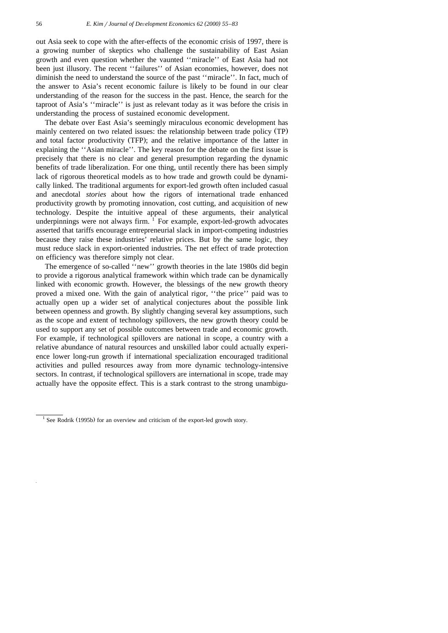out Asia seek to cope with the after-effects of the economic crisis of 1997, there is a growing number of skeptics who challenge the sustainability of East Asian growth and even question whether the vaunted ''miracle'' of East Asia had not been just illusory. The recent ''failures'' of Asian economies, however, does not diminish the need to understand the source of the past ''miracle''. In fact, much of the answer to Asia's recent economic failure is likely to be found in our clear understanding of the reason for the success in the past. Hence, the search for the taproot of Asia's ''miracle'' is just as relevant today as it was before the crisis in understanding the process of sustained economic development.

The debate over East Asia's seemingly miraculous economic development has mainly centered on two related issues: the relationship between trade policy (TP) and total factor productivity (TFP); and the relative importance of the latter in explaining the ''Asian miracle''. The key reason for the debate on the first issue is precisely that there is no clear and general presumption regarding the dynamic benefits of trade liberalization. For one thing, until recently there has been simply lack of rigorous theoretical models as to how trade and growth could be dynamically linked. The traditional arguments for export-led growth often included casual and anecdotal *stories* about how the rigors of international trade enhanced productivity growth by promoting innovation, cost cutting, and acquisition of new technology. Despite the intuitive appeal of these arguments, their analytical underpinnings were not always firm.  $\frac{1}{1}$  For example, export-led-growth advocates asserted that tariffs encourage entrepreneurial slack in import-competing industries because they raise these industries' relative prices. But by the same logic, they must reduce slack in export-oriented industries. The net effect of trade protection on efficiency was therefore simply not clear.

The emergence of so-called ''new'' growth theories in the late 1980s did begin to provide a rigorous analytical framework within which trade can be dynamically linked with economic growth. However, the blessings of the new growth theory proved a mixed one. With the gain of analytical rigor, ''the price'' paid was to actually open up a wider set of analytical conjectures about the possible link between openness and growth. By slightly changing several key assumptions, such as the scope and extent of technology spillovers, the new growth theory could be used to support any set of possible outcomes between trade and economic growth. For example, if technological spillovers are national in scope, a country with a relative abundance of natural resources and unskilled labor could actually experience lower long-run growth if international specialization encouraged traditional activities and pulled resources away from more dynamic technology-intensive sectors. In contrast, if technological spillovers are international in scope, trade may actually have the opposite effect. This is a stark contrast to the strong unambigu-

 $<sup>1</sup>$  See Rodrik (1995b) for an overview and criticism of the export-led growth story.</sup>